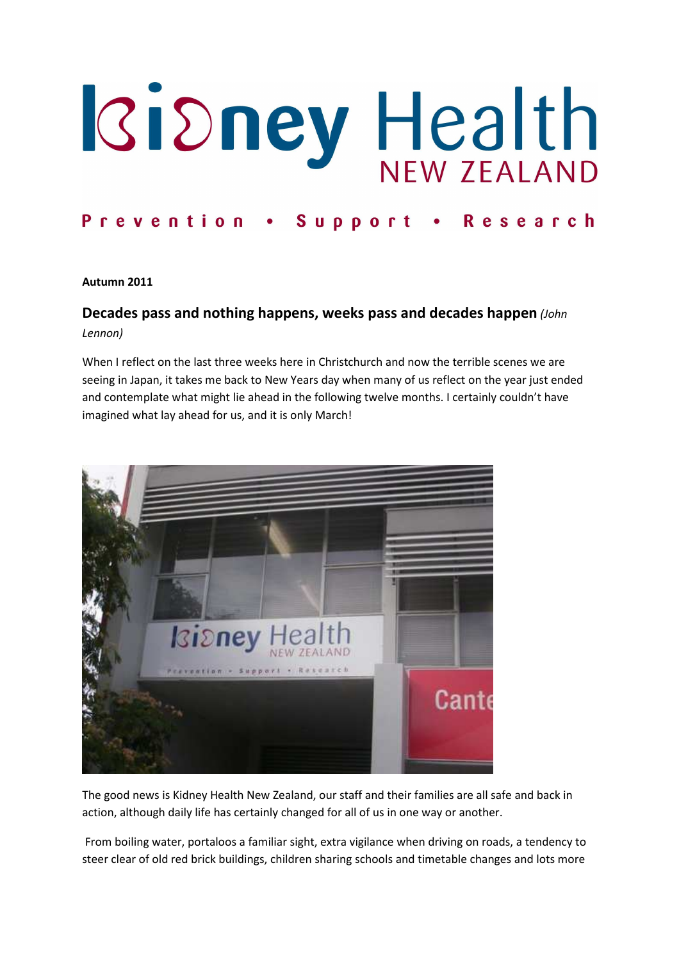# Ridney Health

### Prevention . Support · Research

### Autumn 2011

# Decades pass and nothing happens, weeks pass and decades happen (John Lennon)

When I reflect on the last three weeks here in Christchurch and now the terrible scenes we are seeing in Japan, it takes me back to New Years day when many of us reflect on the year just ended and contemplate what might lie ahead in the following twelve months. I certainly couldn't have imagined what lay ahead for us, and it is only March!



The good news is Kidney Health New Zealand, our staff and their families are all safe and back in action, although daily life has certainly changed for all of us in one way or another.

 From boiling water, portaloos a familiar sight, extra vigilance when driving on roads, a tendency to steer clear of old red brick buildings, children sharing schools and timetable changes and lots more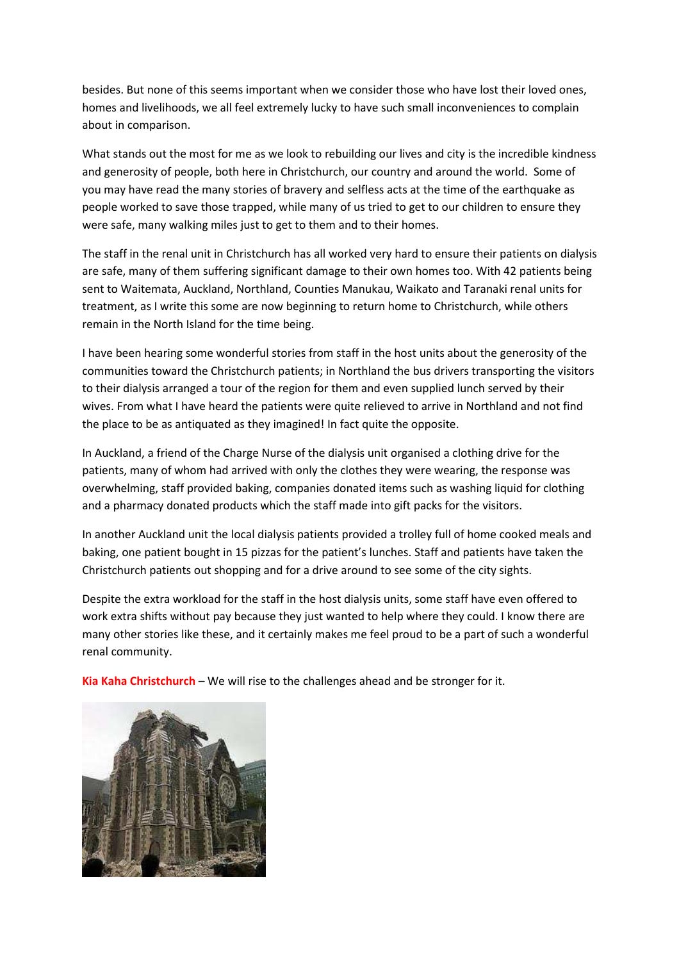besides. But none of this seems important when we consider those who have lost their loved ones, homes and livelihoods, we all feel extremely lucky to have such small inconveniences to complain about in comparison.

What stands out the most for me as we look to rebuilding our lives and city is the incredible kindness and generosity of people, both here in Christchurch, our country and around the world. Some of you may have read the many stories of bravery and selfless acts at the time of the earthquake as people worked to save those trapped, while many of us tried to get to our children to ensure they were safe, many walking miles just to get to them and to their homes.

The staff in the renal unit in Christchurch has all worked very hard to ensure their patients on dialysis are safe, many of them suffering significant damage to their own homes too. With 42 patients being sent to Waitemata, Auckland, Northland, Counties Manukau, Waikato and Taranaki renal units for treatment, as I write this some are now beginning to return home to Christchurch, while others remain in the North Island for the time being.

I have been hearing some wonderful stories from staff in the host units about the generosity of the communities toward the Christchurch patients; in Northland the bus drivers transporting the visitors to their dialysis arranged a tour of the region for them and even supplied lunch served by their wives. From what I have heard the patients were quite relieved to arrive in Northland and not find the place to be as antiquated as they imagined! In fact quite the opposite.

In Auckland, a friend of the Charge Nurse of the dialysis unit organised a clothing drive for the patients, many of whom had arrived with only the clothes they were wearing, the response was overwhelming, staff provided baking, companies donated items such as washing liquid for clothing and a pharmacy donated products which the staff made into gift packs for the visitors.

In another Auckland unit the local dialysis patients provided a trolley full of home cooked meals and baking, one patient bought in 15 pizzas for the patient's lunches. Staff and patients have taken the Christchurch patients out shopping and for a drive around to see some of the city sights.

Despite the extra workload for the staff in the host dialysis units, some staff have even offered to work extra shifts without pay because they just wanted to help where they could. I know there are many other stories like these, and it certainly makes me feel proud to be a part of such a wonderful renal community.

Kia Kaha Christchurch – We will rise to the challenges ahead and be stronger for it.

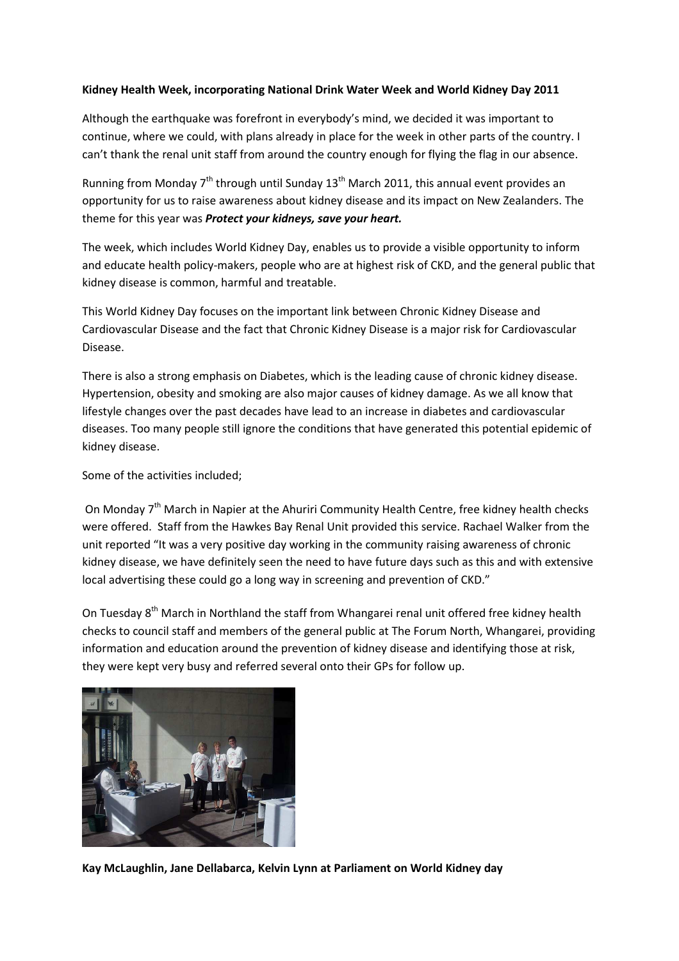### Kidney Health Week, incorporating National Drink Water Week and World Kidney Day 2011

Although the earthquake was forefront in everybody's mind, we decided it was important to continue, where we could, with plans already in place for the week in other parts of the country. I can't thank the renal unit staff from around the country enough for flying the flag in our absence.

Running from Monday  $7<sup>th</sup>$  through until Sunday 13<sup>th</sup> March 2011, this annual event provides an opportunity for us to raise awareness about kidney disease and its impact on New Zealanders. The theme for this year was Protect your kidneys, save your heart.

The week, which includes World Kidney Day, enables us to provide a visible opportunity to inform and educate health policy-makers, people who are at highest risk of CKD, and the general public that kidney disease is common, harmful and treatable.

This World Kidney Day focuses on the important link between Chronic Kidney Disease and Cardiovascular Disease and the fact that Chronic Kidney Disease is a major risk for Cardiovascular Disease.

There is also a strong emphasis on Diabetes, which is the leading cause of chronic kidney disease. Hypertension, obesity and smoking are also major causes of kidney damage. As we all know that lifestyle changes over the past decades have lead to an increase in diabetes and cardiovascular diseases. Too many people still ignore the conditions that have generated this potential epidemic of kidney disease.

Some of the activities included;

On Monday 7<sup>th</sup> March in Napier at the Ahuriri Community Health Centre, free kidney health checks were offered. Staff from the Hawkes Bay Renal Unit provided this service. Rachael Walker from the unit reported "It was a very positive day working in the community raising awareness of chronic kidney disease, we have definitely seen the need to have future days such as this and with extensive local advertising these could go a long way in screening and prevention of CKD."

On Tuesday 8<sup>th</sup> March in Northland the staff from Whangarei renal unit offered free kidney health checks to council staff and members of the general public at The Forum North, Whangarei, providing information and education around the prevention of kidney disease and identifying those at risk, they were kept very busy and referred several onto their GPs for follow up.



Kay McLaughlin, Jane Dellabarca, Kelvin Lynn at Parliament on World Kidney day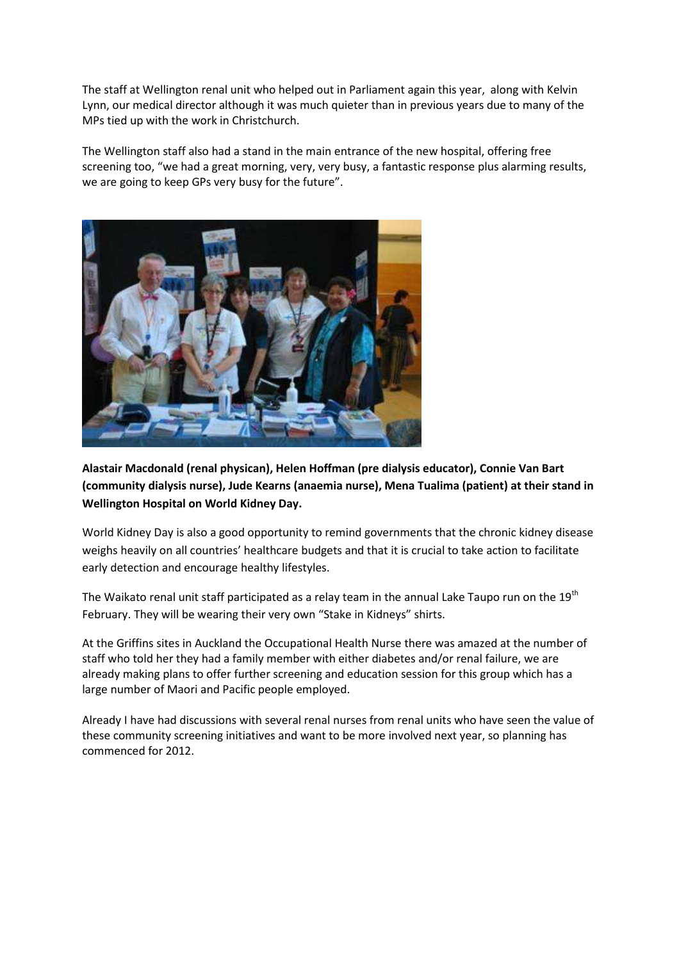The staff at Wellington renal unit who helped out in Parliament again this year, along with Kelvin Lynn, our medical director although it was much quieter than in previous years due to many of the MPs tied up with the work in Christchurch.

The Wellington staff also had a stand in the main entrance of the new hospital, offering free screening too, "we had a great morning, very, very busy, a fantastic response plus alarming results, we are going to keep GPs very busy for the future".



Alastair Macdonald (renal physican), Helen Hoffman (pre dialysis educator), Connie Van Bart (community dialysis nurse), Jude Kearns (anaemia nurse), Mena Tualima (patient) at their stand in Wellington Hospital on World Kidney Day.

World Kidney Day is also a good opportunity to remind governments that the chronic kidney disease weighs heavily on all countries' healthcare budgets and that it is crucial to take action to facilitate early detection and encourage healthy lifestyles.

The Waikato renal unit staff participated as a relay team in the annual Lake Taupo run on the 19<sup>th</sup> February. They will be wearing their very own "Stake in Kidneys" shirts.

At the Griffins sites in Auckland the Occupational Health Nurse there was amazed at the number of staff who told her they had a family member with either diabetes and/or renal failure, we are already making plans to offer further screening and education session for this group which has a large number of Maori and Pacific people employed.

Already I have had discussions with several renal nurses from renal units who have seen the value of these community screening initiatives and want to be more involved next year, so planning has commenced for 2012.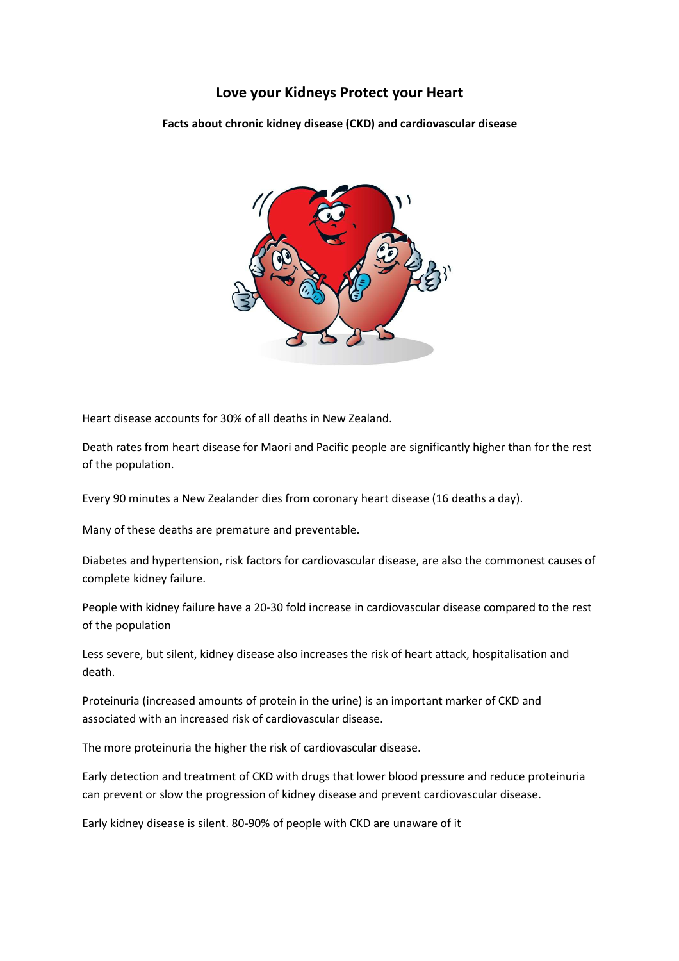# Love your Kidneys Protect your Heart

Facts about chronic kidney disease (CKD) and cardiovascular disease



Heart disease accounts for 30% of all deaths in New Zealand.

Death rates from heart disease for Maori and Pacific people are significantly higher than for the rest of the population.

Every 90 minutes a New Zealander dies from coronary heart disease (16 deaths a day).

Many of these deaths are premature and preventable.

Diabetes and hypertension, risk factors for cardiovascular disease, are also the commonest causes of complete kidney failure.

People with kidney failure have a 20-30 fold increase in cardiovascular disease compared to the rest of the population

Less severe, but silent, kidney disease also increases the risk of heart attack, hospitalisation and death.

Proteinuria (increased amounts of protein in the urine) is an important marker of CKD and associated with an increased risk of cardiovascular disease.

The more proteinuria the higher the risk of cardiovascular disease.

Early detection and treatment of CKD with drugs that lower blood pressure and reduce proteinuria can prevent or slow the progression of kidney disease and prevent cardiovascular disease.

Early kidney disease is silent. 80-90% of people with CKD are unaware of it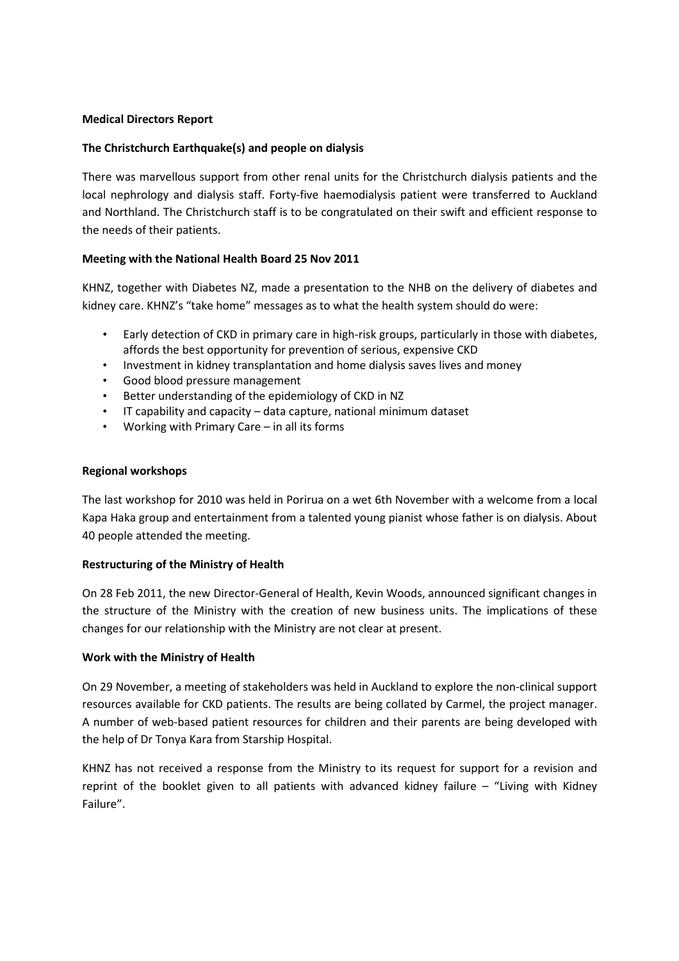### Medical Directors Report

### The Christchurch Earthquake(s) and people on dialysis

There was marvellous support from other renal units for the Christchurch dialysis patients and the local nephrology and dialysis staff. Forty-five haemodialysis patient were transferred to Auckland and Northland. The Christchurch staff is to be congratulated on their swift and efficient response to the needs of their patients.

### Meeting with the National Health Board 25 Nov 2011

KHNZ, together with Diabetes NZ, made a presentation to the NHB on the delivery of diabetes and kidney care. KHNZ's "take home" messages as to what the health system should do were:

- Early detection of CKD in primary care in high-risk groups, particularly in those with diabetes, affords the best opportunity for prevention of serious, expensive CKD
- Investment in kidney transplantation and home dialysis saves lives and money
- Good blood pressure management
- Better understanding of the epidemiology of CKD in NZ
- IT capability and capacity data capture, national minimum dataset
- Working with Primary Care in all its forms

### Regional workshops

The last workshop for 2010 was held in Porirua on a wet 6th November with a welcome from a local Kapa Haka group and entertainment from a talented young pianist whose father is on dialysis. About 40 people attended the meeting.

### Restructuring of the Ministry of Health

On 28 Feb 2011, the new Director-General of Health, Kevin Woods, announced significant changes in the structure of the Ministry with the creation of new business units. The implications of these changes for our relationship with the Ministry are not clear at present.

### Work with the Ministry of Health

On 29 November, a meeting of stakeholders was held in Auckland to explore the non-clinical support resources available for CKD patients. The results are being collated by Carmel, the project manager. A number of web-based patient resources for children and their parents are being developed with the help of Dr Tonya Kara from Starship Hospital.

KHNZ has not received a response from the Ministry to its request for support for a revision and reprint of the booklet given to all patients with advanced kidney failure – "Living with Kidney Failure".